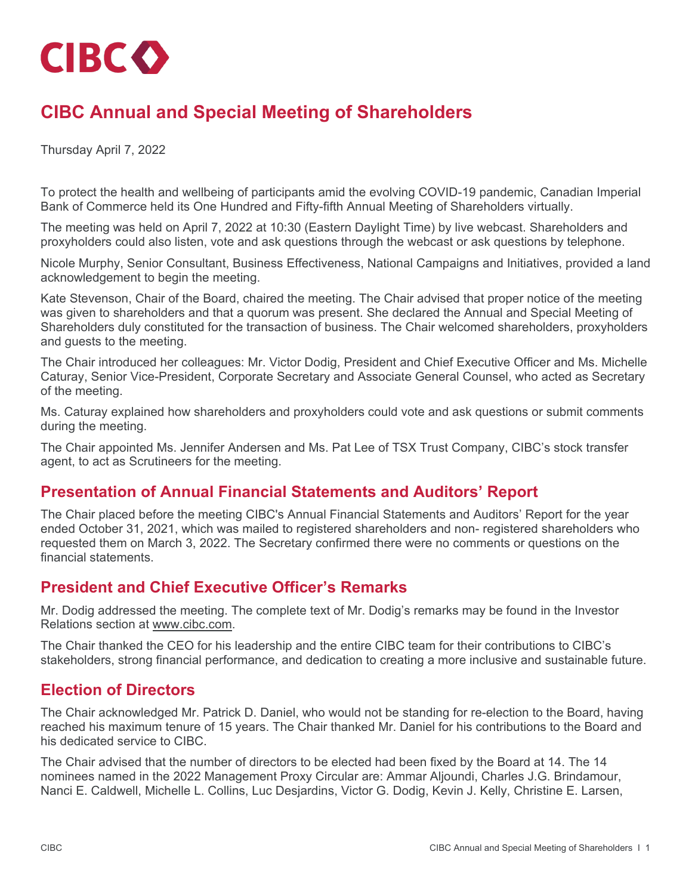

# **CIBC Annual and Special Meeting of Shareholders**

Thursday April 7, 2022

To protect the health and wellbeing of participants amid the evolving COVID-19 pandemic, Canadian Imperial Bank of Commerce held its One Hundred and Fifty-fifth Annual Meeting of Shareholders virtually.

The meeting was held on April 7, 2022 at 10:30 (Eastern Daylight Time) by live webcast. Shareholders and proxyholders could also listen, vote and ask questions through the webcast or ask questions by telephone.

Nicole Murphy, Senior Consultant, Business Effectiveness, National Campaigns and Initiatives, provided a land acknowledgement to begin the meeting.

Kate Stevenson, Chair of the Board, chaired the meeting. The Chair advised that proper notice of the meeting was given to shareholders and that a quorum was present. She declared the Annual and Special Meeting of Shareholders duly constituted for the transaction of business. The Chair welcomed shareholders, proxyholders and guests to the meeting.

The Chair introduced her colleagues: Mr. Victor Dodig, President and Chief Executive Officer and Ms. Michelle Caturay, Senior Vice-President, Corporate Secretary and Associate General Counsel, who acted as Secretary of the meeting.

Ms. Caturay explained how shareholders and proxyholders could vote and ask questions or submit comments during the meeting.

The Chair appointed Ms. Jennifer Andersen and Ms. Pat Lee of TSX Trust Company, CIBC's stock transfer agent, to act as Scrutineers for the meeting.

#### **Presentation of Annual Financial Statements and Auditors' Report**

The Chair placed before the meeting CIBC's Annual Financial Statements and Auditors' Report for the year ended October 31, 2021, which was mailed to registered shareholders and non- registered shareholders who requested them on March 3, 2022. The Secretary confirmed there were no comments or questions on the financial statements.

#### **President and Chief Executive Officer's Remarks**

Mr. Dodig addressed the meeting. The complete text of Mr. Dodig's remarks may be found in the Investor Relations section at [www.cibc.com.](https://www.cibc.com/)

The Chair thanked the CEO for his leadership and the entire CIBC team for their contributions to CIBC's stakeholders, strong financial performance, and dedication to creating a more inclusive and sustainable future.

#### **Election of Directors**

The Chair acknowledged Mr. Patrick D. Daniel, who would not be standing for re-election to the Board, having reached his maximum tenure of 15 years. The Chair thanked Mr. Daniel for his contributions to the Board and his dedicated service to CIBC.

The Chair advised that the number of directors to be elected had been fixed by the Board at 14. The 14 nominees named in the 2022 Management Proxy Circular are: Ammar Aljoundi, Charles J.G. Brindamour, Nanci E. Caldwell, Michelle L. Collins, Luc Desjardins, Victor G. Dodig, Kevin J. Kelly, Christine E. Larsen,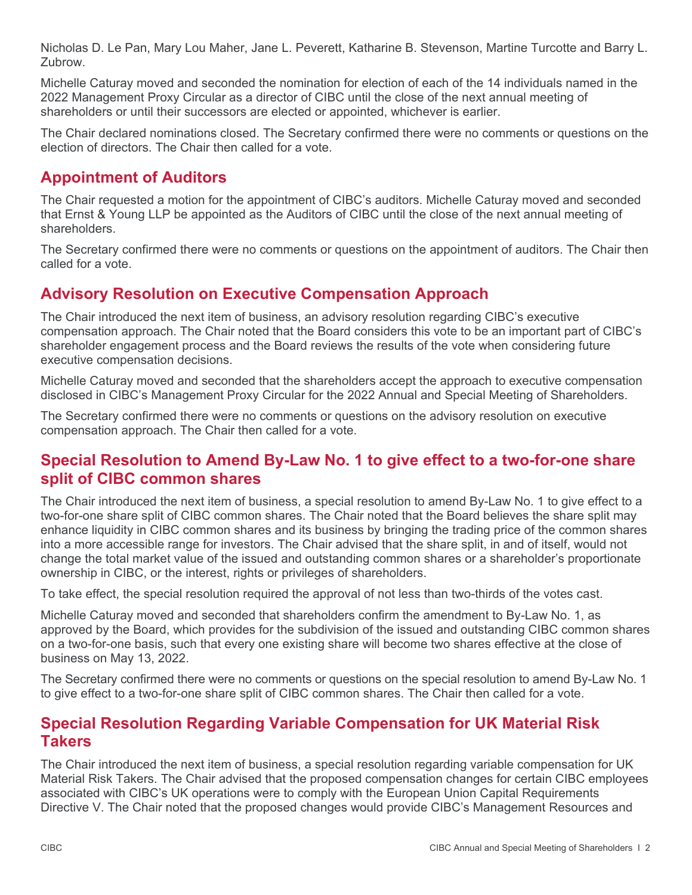Nicholas D. Le Pan, Mary Lou Maher, Jane L. Peverett, Katharine B. Stevenson, Martine Turcotte and Barry L. Zubrow.

Michelle Caturay moved and seconded the nomination for election of each of the 14 individuals named in the 2022 Management Proxy Circular as a director of CIBC until the close of the next annual meeting of shareholders or until their successors are elected or appointed, whichever is earlier.

The Chair declared nominations closed. The Secretary confirmed there were no comments or questions on the election of directors. The Chair then called for a vote.

### **Appointment of Auditors**

The Chair requested a motion for the appointment of CIBC's auditors. Michelle Caturay moved and seconded that Ernst & Young LLP be appointed as the Auditors of CIBC until the close of the next annual meeting of shareholders.

The Secretary confirmed there were no comments or questions on the appointment of auditors. The Chair then called for a vote.

### **Advisory Resolution on Executive Compensation Approach**

The Chair introduced the next item of business, an advisory resolution regarding CIBC's executive compensation approach. The Chair noted that the Board considers this vote to be an important part of CIBC's shareholder engagement process and the Board reviews the results of the vote when considering future executive compensation decisions.

Michelle Caturay moved and seconded that the shareholders accept the approach to executive compensation disclosed in CIBC's Management Proxy Circular for the 2022 Annual and Special Meeting of Shareholders.

The Secretary confirmed there were no comments or questions on the advisory resolution on executive compensation approach. The Chair then called for a vote.

#### **Special Resolution to Amend By-Law No. 1 to give effect to a two-for-one share split of CIBC common shares**

The Chair introduced the next item of business, a special resolution to amend By-Law No. 1 to give effect to a two-for-one share split of CIBC common shares. The Chair noted that the Board believes the share split may enhance liquidity in CIBC common shares and its business by bringing the trading price of the common shares into a more accessible range for investors. The Chair advised that the share split, in and of itself, would not change the total market value of the issued and outstanding common shares or a shareholder's proportionate ownership in CIBC, or the interest, rights or privileges of shareholders.

To take effect, the special resolution required the approval of not less than two-thirds of the votes cast.

Michelle Caturay moved and seconded that shareholders confirm the amendment to By-Law No. 1, as approved by the Board, which provides for the subdivision of the issued and outstanding CIBC common shares on a two-for-one basis, such that every one existing share will become two shares effective at the close of business on May 13, 2022.

The Secretary confirmed there were no comments or questions on the special resolution to amend By-Law No. 1 to give effect to a two-for-one share split of CIBC common shares. The Chair then called for a vote.

#### **Special Resolution Regarding Variable Compensation for UK Material Risk Takers**

The Chair introduced the next item of business, a special resolution regarding variable compensation for UK Material Risk Takers. The Chair advised that the proposed compensation changes for certain CIBC employees associated with CIBC's UK operations were to comply with the European Union Capital Requirements Directive V. The Chair noted that the proposed changes would provide CIBC's Management Resources and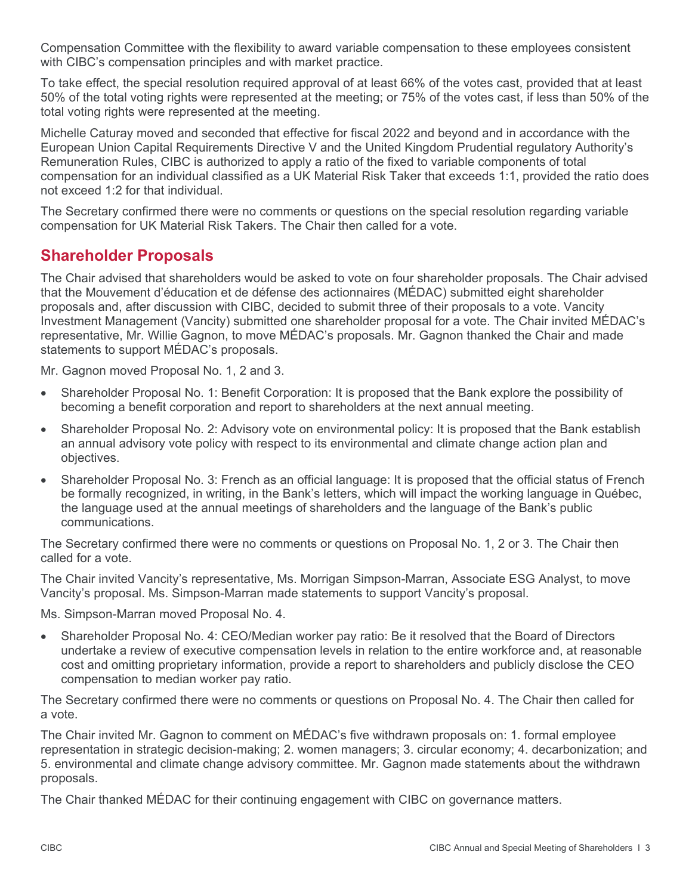Compensation Committee with the flexibility to award variable compensation to these employees consistent with CIBC's compensation principles and with market practice.

To take effect, the special resolution required approval of at least 66% of the votes cast, provided that at least 50% of the total voting rights were represented at the meeting; or 75% of the votes cast, if less than 50% of the total voting rights were represented at the meeting.

Michelle Caturay moved and seconded that effective for fiscal 2022 and beyond and in accordance with the European Union Capital Requirements Directive V and the United Kingdom Prudential regulatory Authority's Remuneration Rules, CIBC is authorized to apply a ratio of the fixed to variable components of total compensation for an individual classified as a UK Material Risk Taker that exceeds 1:1, provided the ratio does not exceed 1:2 for that individual.

The Secretary confirmed there were no comments or questions on the special resolution regarding variable compensation for UK Material Risk Takers. The Chair then called for a vote.

### **Shareholder Proposals**

The Chair advised that shareholders would be asked to vote on four shareholder proposals. The Chair advised that the Mouvement d'éducation et de défense des actionnaires (MÉDAC) submitted eight shareholder proposals and, after discussion with CIBC, decided to submit three of their proposals to a vote. Vancity Investment Management (Vancity) submitted one shareholder proposal for a vote. The Chair invited MÉDAC's representative, Mr. Willie Gagnon, to move MÉDAC's proposals. Mr. Gagnon thanked the Chair and made statements to support MÉDAC's proposals.

Mr. Gagnon moved Proposal No. 1, 2 and 3.

- Shareholder Proposal No. 1: Benefit Corporation: It is proposed that the Bank explore the possibility of becoming a benefit corporation and report to shareholders at the next annual meeting.
- Shareholder Proposal No. 2: Advisory vote on environmental policy: It is proposed that the Bank establish an annual advisory vote policy with respect to its environmental and climate change action plan and objectives.
- Shareholder Proposal No. 3: French as an official language: It is proposed that the official status of French be formally recognized, in writing, in the Bank's letters, which will impact the working language in Québec, the language used at the annual meetings of shareholders and the language of the Bank's public communications.

The Secretary confirmed there were no comments or questions on Proposal No. 1, 2 or 3. The Chair then called for a vote.

The Chair invited Vancity's representative, Ms. Morrigan Simpson-Marran, Associate ESG Analyst, to move Vancity's proposal. Ms. Simpson-Marran made statements to support Vancity's proposal.

Ms. Simpson-Marran moved Proposal No. 4.

• Shareholder Proposal No. 4: CEO/Median worker pay ratio: Be it resolved that the Board of Directors undertake a review of executive compensation levels in relation to the entire workforce and, at reasonable cost and omitting proprietary information, provide a report to shareholders and publicly disclose the CEO compensation to median worker pay ratio.

The Secretary confirmed there were no comments or questions on Proposal No. 4. The Chair then called for a vote.

The Chair invited Mr. Gagnon to comment on MÉDAC's five withdrawn proposals on: 1. formal employee representation in strategic decision-making; 2. women managers; 3. circular economy; 4. decarbonization; and 5. environmental and climate change advisory committee. Mr. Gagnon made statements about the withdrawn proposals.

The Chair thanked MÉDAC for their continuing engagement with CIBC on governance matters.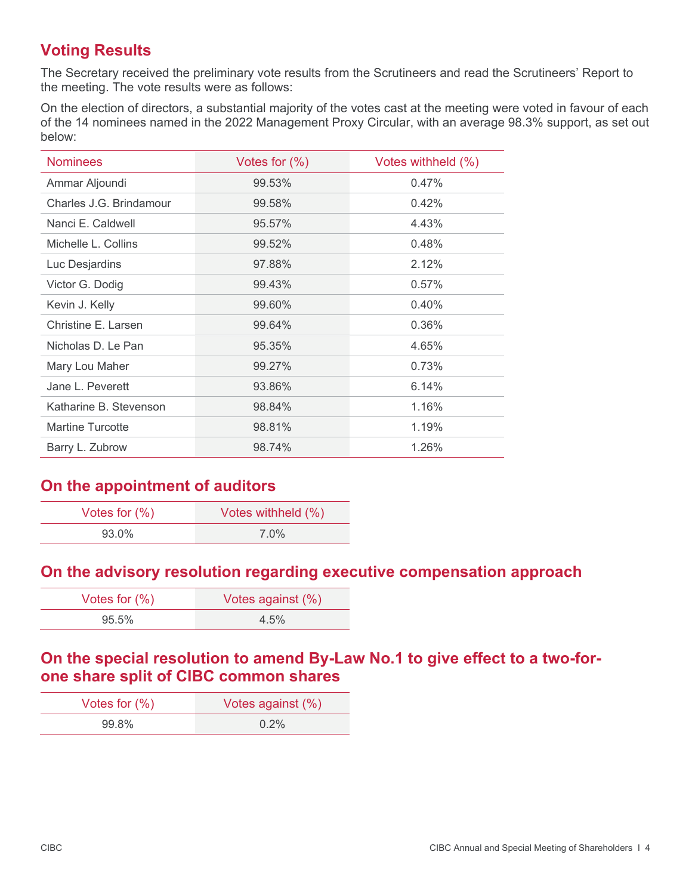## **Voting Results**

The Secretary received the preliminary vote results from the Scrutineers and read the Scrutineers' Report to the meeting. The vote results were as follows:

On the election of directors, a substantial majority of the votes cast at the meeting were voted in favour of each of the 14 nominees named in the 2022 Management Proxy Circular, with an average 98.3% support, as set out below:

| <b>Nominees</b>         | Votes for $(\%)$ | Votes withheld (%) |
|-------------------------|------------------|--------------------|
| Ammar Aljoundi          | 99.53%           | 0.47%              |
| Charles J.G. Brindamour | 99.58%           | 0.42%              |
| Nanci E. Caldwell       | 95.57%           | 4.43%              |
| Michelle L. Collins     | 99.52%           | 0.48%              |
| Luc Desjardins          | 97.88%           | 2.12%              |
| Victor G. Dodig         | 99.43%           | 0.57%              |
| Kevin J. Kelly          | 99.60%           | 0.40%              |
| Christine E. Larsen     | 99.64%           | 0.36%              |
| Nicholas D. Le Pan      | 95.35%           | 4.65%              |
| Mary Lou Maher          | 99.27%           | 0.73%              |
| Jane L. Peverett        | 93.86%           | 6.14%              |
| Katharine B. Stevenson  | 98.84%           | 1.16%              |
| <b>Martine Turcotte</b> | 98.81%           | 1.19%              |
| Barry L. Zubrow         | 98.74%           | 1.26%              |

### **On the appointment of auditors**

| Votes for $(\%)$ | Votes withheld (%) |
|------------------|--------------------|
| 93.0%            | $7.0\%$            |

#### **On the advisory resolution regarding executive compensation approach**

| Votes for $(\%)$ | Votes against (%) |
|------------------|-------------------|
| $95.5\%$         | $4.5\%$           |

#### **On the special resolution to amend By-Law No.1 to give effect to a two-forone share split of CIBC common shares**

| Votes for $(\%)$ | Votes against (%) |
|------------------|-------------------|
| 99.8%            | $0.2\%$           |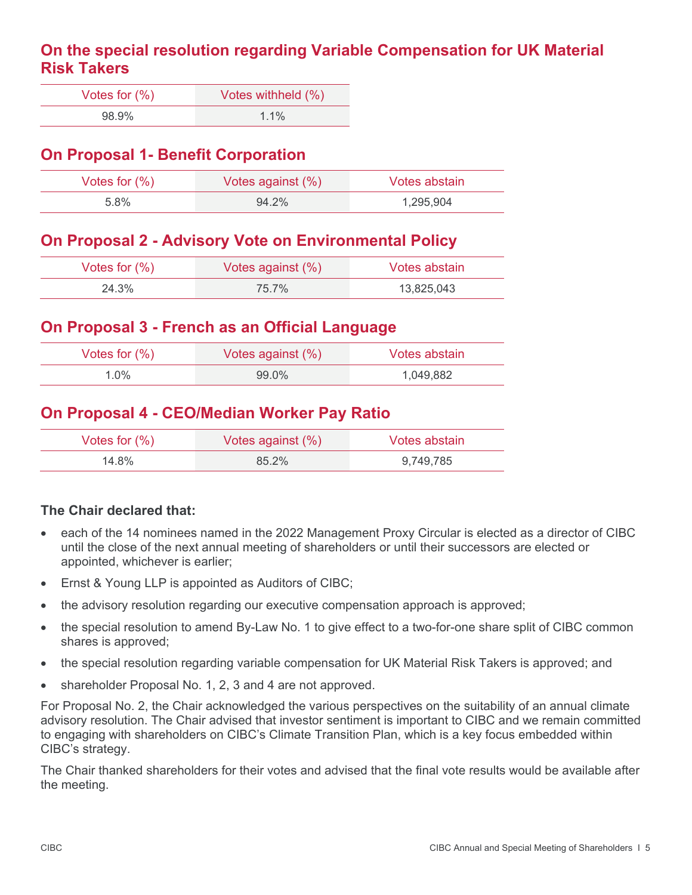#### **On the special resolution regarding Variable Compensation for UK Material Risk Takers**

| Votes for $(\%)$ | Votes withheld (%) |
|------------------|--------------------|
| 98.9%            | $1.1\%$            |

### **On Proposal 1- Benefit Corporation**

| Votes for $(\%)$ | Votes against $(\%)$ | Votes abstain |
|------------------|----------------------|---------------|
| 5.8%             | 94.2%                | 1.295.904     |

### **On Proposal 2 - Advisory Vote on Environmental Policy**

| Votes for $(\%)$ | Votes against $(\%)$ | Votes abstain |
|------------------|----------------------|---------------|
| 24.3%            | 75 7%                | 13,825,043    |

### **On Proposal 3 - French as an Official Language**

| Votes for $(\%)$ | Votes against (%) | Votes abstain |
|------------------|-------------------|---------------|
| $1.0\%$          | $99.0\%$          | 1,049,882     |

#### **On Proposal 4 - CEO/Median Worker Pay Ratio**

| Votes for $(\%)$ | Votes against $(\%)$ | Votes abstain |
|------------------|----------------------|---------------|
| 14.8%            | 85.2%                | 9.749.785     |

#### **The Chair declared that:**

- each of the 14 nominees named in the 2022 Management Proxy Circular is elected as a director of CIBC until the close of the next annual meeting of shareholders or until their successors are elected or appointed, whichever is earlier;
- Ernst & Young LLP is appointed as Auditors of CIBC;
- the advisory resolution regarding our executive compensation approach is approved;
- the special resolution to amend By-Law No. 1 to give effect to a two-for-one share split of CIBC common shares is approved;
- the special resolution regarding variable compensation for UK Material Risk Takers is approved; and
- shareholder Proposal No. 1, 2, 3 and 4 are not approved.

For Proposal No. 2, the Chair acknowledged the various perspectives on the suitability of an annual climate advisory resolution. The Chair advised that investor sentiment is important to CIBC and we remain committed to engaging with shareholders on CIBC's Climate Transition Plan, which is a key focus embedded within CIBC's strategy.

The Chair thanked shareholders for their votes and advised that the final vote results would be available after the meeting.